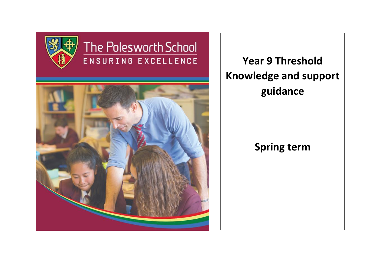

# The Polesworth School ENSURING EXCELLENCE



**Year 9 Threshold Knowledge and support guidance**

# **Spring term**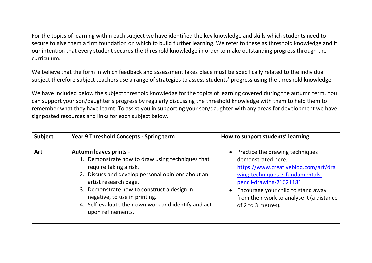For the topics of learning within each subject we have identified the key knowledge and skills which students need to secure to give them a firm foundation on which to build further learning. We refer to these as threshold knowledge and it our intention that every student secures the threshold knowledge in order to make outstanding progress through the curriculum.

We believe that the form in which feedback and assessment takes place must be specifically related to the individual subject therefore subject teachers use a range of strategies to assess students' progress using the threshold knowledge.

We have included below the subject threshold knowledge for the topics of learning covered during the autumn term. You can support your son/daughter's progress by regularly discussing the threshold knowledge with them to help them to remember what they have learnt. To assist you in supporting your son/daughter with any areas for development we have signposted resources and links for each subject below.

| <b>Subject</b> | <b>Year 9 Threshold Concepts - Spring term</b>                                                                                                                                                                                                                                                                                                         | How to support students' learning                                                                                                                                                                                                                                    |
|----------------|--------------------------------------------------------------------------------------------------------------------------------------------------------------------------------------------------------------------------------------------------------------------------------------------------------------------------------------------------------|----------------------------------------------------------------------------------------------------------------------------------------------------------------------------------------------------------------------------------------------------------------------|
| <b>Art</b>     | <b>Autumn leaves prints -</b><br>1. Demonstrate how to draw using techniques that<br>require taking a risk.<br>2. Discuss and develop personal opinions about an<br>artist research page.<br>3. Demonstrate how to construct a design in<br>negative, to use in printing.<br>4. Self-evaluate their own work and identify and act<br>upon refinements. | Practice the drawing techniques<br>demonstrated here.<br>https://www.creativeblog.com/art/dra<br>wing-techniques-7-fundamentals-<br>pencil-drawing-71621181<br>Encourage your child to stand away<br>from their work to analyse it (a distance<br>of 2 to 3 metres). |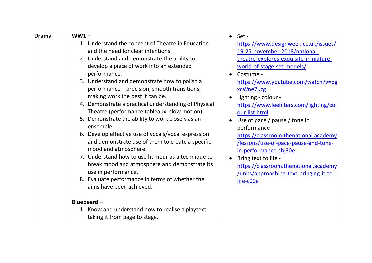| <b>Drama</b> | $WW1 -$                                                                                                                                                                                                                                                                                                                                                                                                                                                                                                                                                                                                                                                                                                                                                                                                                                                         | Set -                                                                                                                                                                                                                                                                                                                                                                                                                                                                                                                                                                                |
|--------------|-----------------------------------------------------------------------------------------------------------------------------------------------------------------------------------------------------------------------------------------------------------------------------------------------------------------------------------------------------------------------------------------------------------------------------------------------------------------------------------------------------------------------------------------------------------------------------------------------------------------------------------------------------------------------------------------------------------------------------------------------------------------------------------------------------------------------------------------------------------------|--------------------------------------------------------------------------------------------------------------------------------------------------------------------------------------------------------------------------------------------------------------------------------------------------------------------------------------------------------------------------------------------------------------------------------------------------------------------------------------------------------------------------------------------------------------------------------------|
|              | 1. Understand the concept of Theatre in Education<br>and the need for clear intentions.<br>2. Understand and demonstrate the ability to<br>develop a piece of work into an extended<br>performance.<br>3. Understand and demonstrate how to polish a<br>performance - precision, smooth transitions,<br>making work the best it can be.<br>4. Demonstrate a practical understanding of Physical<br>Theatre (performance tableaux, slow motion).<br>5. Demonstrate the ability to work closely as an<br>ensemble.<br>6. Develop effective use of vocals/vocal expression<br>and demonstrate use of them to create a specific<br>mood and atmosphere.<br>7. Understand how to use humour as a technique to<br>break mood and atmosphere and demonstrate its<br>use in performance.<br>8. Evaluate performance in terms of whether the<br>aims have been achieved. | https://www.designweek.co.uk/issues/<br>19-25-november-2018/national-<br>theatre-explores-exquisite-miniature-<br>world-of-stage-set-models/<br>Costume -<br>https://www.youtube.com/watch?v=bg<br>xcWne7uzg<br>Lighting - colour -<br>https://www.leefilters.com/lighting/col<br>our-list.html<br>Use of pace / pause / tone in<br>performance -<br>https://classroom.thenational.academy<br>/lessons/use-of-pace-pause-and-tone-<br>in-performance-chj30e<br>Bring text to life -<br>https://classroom.thenational.academy<br>/units/approaching-text-bringing-it-to-<br>life-c00e |
|              | Bluebeard-                                                                                                                                                                                                                                                                                                                                                                                                                                                                                                                                                                                                                                                                                                                                                                                                                                                      |                                                                                                                                                                                                                                                                                                                                                                                                                                                                                                                                                                                      |
|              | 1. Know and understand how to realise a playtext<br>taking it from page to stage.                                                                                                                                                                                                                                                                                                                                                                                                                                                                                                                                                                                                                                                                                                                                                                               |                                                                                                                                                                                                                                                                                                                                                                                                                                                                                                                                                                                      |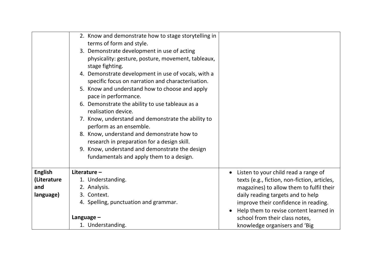|                | 2. Know and demonstrate how to stage storytelling in<br>terms of form and style.<br>3. Demonstrate development in use of acting<br>physicality: gesture, posture, movement, tableaux,<br>stage fighting.<br>4. Demonstrate development in use of vocals, with a<br>specific focus on narration and characterisation.<br>5. Know and understand how to choose and apply<br>pace in performance.<br>6. Demonstrate the ability to use tableaux as a<br>realisation device.<br>7. Know, understand and demonstrate the ability to<br>perform as an ensemble.<br>8. Know, understand and demonstrate how to<br>research in preparation for a design skill.<br>9. Know, understand and demonstrate the design<br>fundamentals and apply them to a design. |                                              |
|----------------|------------------------------------------------------------------------------------------------------------------------------------------------------------------------------------------------------------------------------------------------------------------------------------------------------------------------------------------------------------------------------------------------------------------------------------------------------------------------------------------------------------------------------------------------------------------------------------------------------------------------------------------------------------------------------------------------------------------------------------------------------|----------------------------------------------|
|                |                                                                                                                                                                                                                                                                                                                                                                                                                                                                                                                                                                                                                                                                                                                                                      |                                              |
| <b>English</b> | Literature-                                                                                                                                                                                                                                                                                                                                                                                                                                                                                                                                                                                                                                                                                                                                          | Listen to your child read a range of         |
| (Literature    | 1. Understanding.                                                                                                                                                                                                                                                                                                                                                                                                                                                                                                                                                                                                                                                                                                                                    | texts (e.g., fiction, non-fiction, articles, |
| and            | 2. Analysis.                                                                                                                                                                                                                                                                                                                                                                                                                                                                                                                                                                                                                                                                                                                                         | magazines) to allow them to fulfil their     |
| language)      | 3. Context.                                                                                                                                                                                                                                                                                                                                                                                                                                                                                                                                                                                                                                                                                                                                          | daily reading targets and to help            |
|                | 4. Spelling, punctuation and grammar.                                                                                                                                                                                                                                                                                                                                                                                                                                                                                                                                                                                                                                                                                                                | improve their confidence in reading.         |
|                |                                                                                                                                                                                                                                                                                                                                                                                                                                                                                                                                                                                                                                                                                                                                                      | Help them to revise content learned in       |
|                | Language $-$                                                                                                                                                                                                                                                                                                                                                                                                                                                                                                                                                                                                                                                                                                                                         | school from their class notes,               |
|                | 1. Understanding.                                                                                                                                                                                                                                                                                                                                                                                                                                                                                                                                                                                                                                                                                                                                    | knowledge organisers and 'Big                |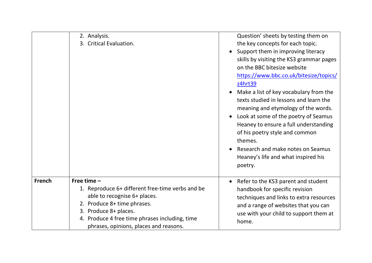|               | 2. Analysis.<br>3. Critical Evaluation.                                                                                                                                                                                                               | Question' sheets by testing them on<br>the key concepts for each topic.<br>Support them in improving literacy<br>skills by visiting the KS3 grammar pages<br>on the BBC bitesize website<br>https://www.bbc.co.uk/bitesize/topics/<br>z4hrt39<br>Make a list of key vocabulary from the<br>texts studied in lessons and learn the<br>meaning and etymology of the words.<br>Look at some of the poetry of Seamus<br>Heaney to ensure a full understanding<br>of his poetry style and common<br>themes.<br>Research and make notes on Seamus<br>Heaney's life and what inspired his<br>poetry. |
|---------------|-------------------------------------------------------------------------------------------------------------------------------------------------------------------------------------------------------------------------------------------------------|-----------------------------------------------------------------------------------------------------------------------------------------------------------------------------------------------------------------------------------------------------------------------------------------------------------------------------------------------------------------------------------------------------------------------------------------------------------------------------------------------------------------------------------------------------------------------------------------------|
| <b>French</b> | Free time $-$<br>1. Reproduce 6+ different free-time verbs and be<br>able to recognise 6+ places.<br>2. Produce 8+ time phrases.<br>3. Produce 8+ places.<br>4. Produce 4 free time phrases including, time<br>phrases, opinions, places and reasons. | Refer to the KS3 parent and student<br>handbook for specific revision<br>techniques and links to extra resources<br>and a range of websites that you can<br>use with your child to support them at<br>home.                                                                                                                                                                                                                                                                                                                                                                                   |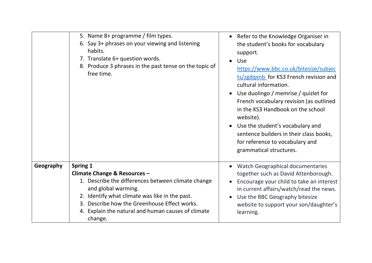|           | 5. Name 8+ programme / film types.<br>6. Say 3+ phrases on your viewing and listening<br>habits.<br>7. Translate 6+ question words.<br>8. Produce 3 phrases in the past tense on the topic of<br>free time. | Refer to the Knowledge Organiser in<br>the student's books for vocabulary<br>support.<br>Use<br>https://www.bbc.co.uk/bitesize/subjec<br>ts/zgdqxnb for KS3 French revision and<br>cultural information.<br>Use duolingo / memrise / quizlet for<br>French vocabulary revision (as outlined<br>in the KS3 Handbook on the school<br>website).<br>Use the student's vocabulary and<br>sentence builders in their class books,<br>for reference to vocabulary and<br>grammatical structures. |
|-----------|-------------------------------------------------------------------------------------------------------------------------------------------------------------------------------------------------------------|--------------------------------------------------------------------------------------------------------------------------------------------------------------------------------------------------------------------------------------------------------------------------------------------------------------------------------------------------------------------------------------------------------------------------------------------------------------------------------------------|
| Geography | Spring 1                                                                                                                                                                                                    | Watch Geographical documentaries                                                                                                                                                                                                                                                                                                                                                                                                                                                           |
|           | Climate Change & Resources -<br>1. Describe the differences between climate change                                                                                                                          | together such as David Attenborough.<br>Encourage your child to take an interest                                                                                                                                                                                                                                                                                                                                                                                                           |
|           | and global warming.                                                                                                                                                                                         | in current affairs/watch/read the news.                                                                                                                                                                                                                                                                                                                                                                                                                                                    |
|           | 2. Identify what climate was like in the past.                                                                                                                                                              | Use the BBC Geography bitesize                                                                                                                                                                                                                                                                                                                                                                                                                                                             |
|           | 3. Describe how the Greenhouse Effect works.                                                                                                                                                                | website to support your son/daughter's                                                                                                                                                                                                                                                                                                                                                                                                                                                     |
|           | 4. Explain the natural and human causes of climate<br>change.                                                                                                                                               | learning.                                                                                                                                                                                                                                                                                                                                                                                                                                                                                  |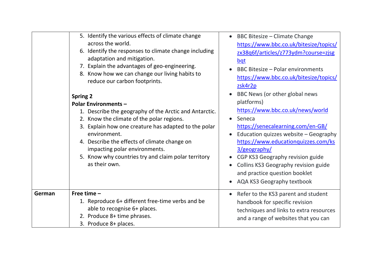|        | 5. Identify the various effects of climate change<br>across the world.<br>6. Identify the responses to climate change including<br>adaptation and mitigation.<br>7. Explain the advantages of geo-engineering.<br>8. Know how we can change our living habits to<br>reduce our carbon footprints.                                                                                      | BBC Bitesize - Climate Change<br>$\bullet$<br>https://www.bbc.co.uk/bitesize/topics/<br>zx38q6f/articles/z773ydm?course=zjsg<br>bqt<br><b>BBC Bitesize - Polar environments</b><br>https://www.bbc.co.uk/bitesize/topics/<br>zsk4r2p                                                                                                                                       |
|--------|----------------------------------------------------------------------------------------------------------------------------------------------------------------------------------------------------------------------------------------------------------------------------------------------------------------------------------------------------------------------------------------|----------------------------------------------------------------------------------------------------------------------------------------------------------------------------------------------------------------------------------------------------------------------------------------------------------------------------------------------------------------------------|
|        | <b>Spring 2</b><br><b>Polar Environments -</b><br>1. Describe the geography of the Arctic and Antarctic.<br>2. Know the climate of the polar regions.<br>3. Explain how one creature has adapted to the polar<br>environment.<br>4. Describe the effects of climate change on<br>impacting polar environments.<br>5. Know why countries try and claim polar territory<br>as their own. | BBC News (or other global news<br>platforms)<br>https://www.bbc.co.uk/news/world<br>Seneca<br>https://senecalearning.com/en-GB/<br>Education quizzes website - Geography<br>https://www.educationquizzes.com/ks<br>3/geography/<br>CGP KS3 Geography revision guide<br>Collins KS3 Geography revision guide<br>and practice question booklet<br>AQA KS3 Geography textbook |
| German | Free time $-$<br>1. Reproduce 6+ different free-time verbs and be<br>able to recognise 6+ places.<br>2. Produce 8+ time phrases.<br>3. Produce 8+ places.                                                                                                                                                                                                                              | Refer to the KS3 parent and student<br>handbook for specific revision<br>techniques and links to extra resources<br>and a range of websites that you can                                                                                                                                                                                                                   |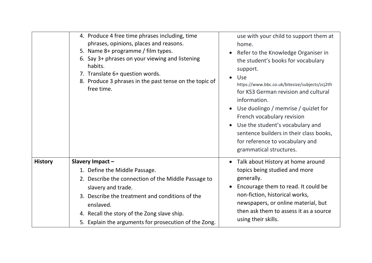|                | 4. Produce 4 free time phrases including, time<br>phrases, opinions, places and reasons.<br>5. Name 8+ programme / film types.<br>6. Say 3+ phrases on your viewing and listening<br>habits.<br>7. Translate 6+ question words.<br>8. Produce 3 phrases in the past tense on the topic of<br>free time. | use with your child to support them at<br>home.<br>Refer to the Knowledge Organiser in<br>the student's books for vocabulary<br>support.<br>Use<br>https://www.bbc.co.uk/bitesize/subjects/zcj2tfr<br>for KS3 German revision and cultural<br>information.<br>Use duolingo / memrise / quizlet for<br>French vocabulary revision<br>Use the student's vocabulary and<br>sentence builders in their class books,<br>for reference to vocabulary and<br>grammatical structures. |
|----------------|---------------------------------------------------------------------------------------------------------------------------------------------------------------------------------------------------------------------------------------------------------------------------------------------------------|-------------------------------------------------------------------------------------------------------------------------------------------------------------------------------------------------------------------------------------------------------------------------------------------------------------------------------------------------------------------------------------------------------------------------------------------------------------------------------|
| <b>History</b> | Slavery Impact-                                                                                                                                                                                                                                                                                         | • Talk about History at home around                                                                                                                                                                                                                                                                                                                                                                                                                                           |
|                | 1. Define the Middle Passage.                                                                                                                                                                                                                                                                           | topics being studied and more                                                                                                                                                                                                                                                                                                                                                                                                                                                 |
|                | 2. Describe the connection of the Middle Passage to<br>slavery and trade.                                                                                                                                                                                                                               | generally.<br>Encourage them to read. It could be                                                                                                                                                                                                                                                                                                                                                                                                                             |
|                | 3. Describe the treatment and conditions of the                                                                                                                                                                                                                                                         | non-fiction, historical works,                                                                                                                                                                                                                                                                                                                                                                                                                                                |
|                | enslaved.                                                                                                                                                                                                                                                                                               | newspapers, or online material, but                                                                                                                                                                                                                                                                                                                                                                                                                                           |
|                | 4. Recall the story of the Zong slave ship.                                                                                                                                                                                                                                                             | then ask them to assess it as a source                                                                                                                                                                                                                                                                                                                                                                                                                                        |
|                | 5. Explain the arguments for prosecution of the Zong.                                                                                                                                                                                                                                                   | using their skills.                                                                                                                                                                                                                                                                                                                                                                                                                                                           |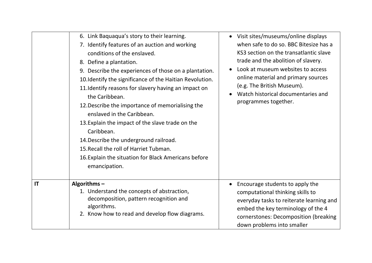|    | 6. Link Baquaqua's story to their learning.<br>7. Identify features of an auction and working<br>conditions of the enslaved.<br>8. Define a plantation.<br>9. Describe the experiences of those on a plantation.<br>10. Identify the significance of the Haitian Revolution.<br>11. Identify reasons for slavery having an impact on<br>the Caribbean.<br>12. Describe the importance of memorialising the<br>enslaved in the Caribbean.<br>13. Explain the impact of the slave trade on the<br>Caribbean.<br>14. Describe the underground railroad.<br>15. Recall the roll of Harriet Tubman.<br>16. Explain the situation for Black Americans before<br>emancipation. | • Visit sites/museums/online displays<br>when safe to do so. BBC Bitesize has a<br>KS3 section on the transatlantic slave<br>trade and the abolition of slavery.<br>Look at museum websites to access<br>online material and primary sources<br>(e.g. The British Museum).<br>Watch historical documentaries and<br>programmes together. |
|----|-------------------------------------------------------------------------------------------------------------------------------------------------------------------------------------------------------------------------------------------------------------------------------------------------------------------------------------------------------------------------------------------------------------------------------------------------------------------------------------------------------------------------------------------------------------------------------------------------------------------------------------------------------------------------|------------------------------------------------------------------------------------------------------------------------------------------------------------------------------------------------------------------------------------------------------------------------------------------------------------------------------------------|
| IT | Algorithms $-$<br>1. Understand the concepts of abstraction,<br>decomposition, pattern recognition and<br>algorithms.<br>2. Know how to read and develop flow diagrams.                                                                                                                                                                                                                                                                                                                                                                                                                                                                                                 | Encourage students to apply the<br>computational thinking skills to<br>everyday tasks to reiterate learning and<br>embed the key terminology of the 4<br>cornerstones: Decomposition (breaking<br>down problems into smaller                                                                                                             |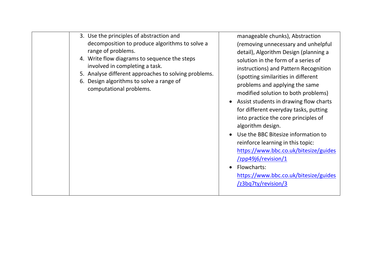| 3. Use the principles of abstraction and<br>decomposition to produce algorithms to solve a<br>range of problems.<br>4. Write flow diagrams to sequence the steps<br>involved in completing a task.<br>5. Analyse different approaches to solving problems.<br>6. Design algorithms to solve a range of<br>computational problems. | manageable chunks), Abstraction<br>(removing unnecessary and unhelpful<br>detail), Algorithm Design (planning a<br>solution in the form of a series of<br>instructions) and Pattern Recognition<br>(spotting similarities in different<br>problems and applying the same<br>modified solution to both problems)<br>Assist students in drawing flow charts<br>for different everyday tasks, putting<br>into practice the core principles of<br>algorithm design.<br>Use the BBC Bitesize information to<br>reinforce learning in this topic:<br>https://www.bbc.co.uk/bitesize/guides<br>$\frac{1}{2}$ pp49j6/revision/1<br>Flowcharts:<br>https://www.bbc.co.uk/bitesize/guides<br>/z3bq7ty/revision/3 |
|-----------------------------------------------------------------------------------------------------------------------------------------------------------------------------------------------------------------------------------------------------------------------------------------------------------------------------------|--------------------------------------------------------------------------------------------------------------------------------------------------------------------------------------------------------------------------------------------------------------------------------------------------------------------------------------------------------------------------------------------------------------------------------------------------------------------------------------------------------------------------------------------------------------------------------------------------------------------------------------------------------------------------------------------------------|
|-----------------------------------------------------------------------------------------------------------------------------------------------------------------------------------------------------------------------------------------------------------------------------------------------------------------------------------|--------------------------------------------------------------------------------------------------------------------------------------------------------------------------------------------------------------------------------------------------------------------------------------------------------------------------------------------------------------------------------------------------------------------------------------------------------------------------------------------------------------------------------------------------------------------------------------------------------------------------------------------------------------------------------------------------------|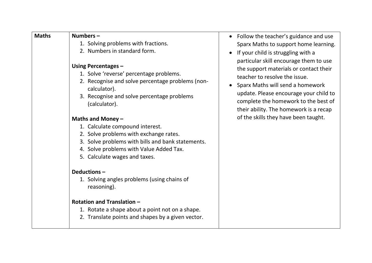| <b>Maths</b> | Numbers-<br>1. Solving problems with fractions.<br>2. Numbers in standard form.<br>Using Percentages -<br>1. Solve 'reverse' percentage problems.<br>2. Recognise and solve percentage problems (non-<br>calculator).<br>3. Recognise and solve percentage problems<br>(calculator).<br>Maths and Money $-$<br>1. Calculate compound interest.<br>2. Solve problems with exchange rates. | • Follow the teacher's guidance and use<br>Sparx Maths to support home learning.<br>• If your child is struggling with a<br>particular skill encourage them to use<br>the support materials or contact their<br>teacher to resolve the issue.<br>Sparx Maths will send a homework<br>update. Please encourage your child to<br>complete the homework to the best of<br>their ability. The homework is a recap<br>of the skills they have been taught. |
|--------------|------------------------------------------------------------------------------------------------------------------------------------------------------------------------------------------------------------------------------------------------------------------------------------------------------------------------------------------------------------------------------------------|-------------------------------------------------------------------------------------------------------------------------------------------------------------------------------------------------------------------------------------------------------------------------------------------------------------------------------------------------------------------------------------------------------------------------------------------------------|
|              | 3. Solve problems with bills and bank statements.<br>4. Solve problems with Value Added Tax.<br>5. Calculate wages and taxes.<br>Deductions-<br>1. Solving angles problems (using chains of<br>reasoning).<br><b>Rotation and Translation -</b><br>1. Rotate a shape about a point not on a shape.<br>2. Translate points and shapes by a given vector.                                  |                                                                                                                                                                                                                                                                                                                                                                                                                                                       |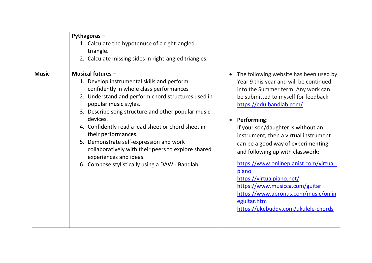| <b>Music</b> | Pythagoras-<br>1. Calculate the hypotenuse of a right-angled<br>triangle.<br>2. Calculate missing sides in right-angled triangles.<br><b>Musical futures -</b>                                                                                                                                                                                                                                                                                                                                    | The following website has been used by                                                                                                                                                                                                                                                                                                                                                                                                                                                                                                        |
|--------------|---------------------------------------------------------------------------------------------------------------------------------------------------------------------------------------------------------------------------------------------------------------------------------------------------------------------------------------------------------------------------------------------------------------------------------------------------------------------------------------------------|-----------------------------------------------------------------------------------------------------------------------------------------------------------------------------------------------------------------------------------------------------------------------------------------------------------------------------------------------------------------------------------------------------------------------------------------------------------------------------------------------------------------------------------------------|
|              | 1. Develop instrumental skills and perform<br>confidently in whole class performances<br>2. Understand and perform chord structures used in<br>popular music styles.<br>3. Describe song structure and other popular music<br>devices.<br>4. Confidently read a lead sheet or chord sheet in<br>their performances.<br>5. Demonstrate self-expression and work<br>collaboratively with their peers to explore shared<br>experiences and ideas.<br>6. Compose stylistically using a DAW - Bandlab. | Year 9 this year and will be continued<br>into the Summer term. Any work can<br>be submitted to myself for feedback<br>https://edu.bandlab.com/<br><b>Performing:</b><br>If your son/daughter is without an<br>instrument, then a virtual instrument<br>can be a good way of experimenting<br>and following up with classwork:<br>https://www.onlinepianist.com/virtual-<br>piano<br>https://virtualpiano.net/<br>https://www.musicca.com/guitar<br>https://www.apronus.com/music/onlin<br>eguitar.htm<br>https://ukebuddy.com/ukulele-chords |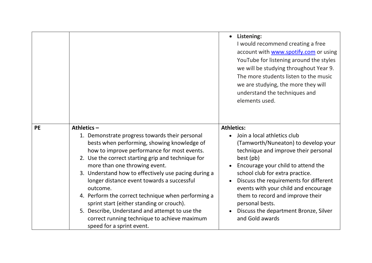|           |                                                                                                                                                                                                                                                                                                                                                                                                                                                                                                                                                                                                       | Listening:<br>I would recommend creating a free<br>account with www.spotify.com or using<br>YouTube for listening around the styles<br>we will be studying throughout Year 9.<br>The more students listen to the music<br>we are studying, the more they will<br>understand the techniques and<br>elements used.                                                                                                           |
|-----------|-------------------------------------------------------------------------------------------------------------------------------------------------------------------------------------------------------------------------------------------------------------------------------------------------------------------------------------------------------------------------------------------------------------------------------------------------------------------------------------------------------------------------------------------------------------------------------------------------------|----------------------------------------------------------------------------------------------------------------------------------------------------------------------------------------------------------------------------------------------------------------------------------------------------------------------------------------------------------------------------------------------------------------------------|
| <b>PE</b> | Athletics-<br>1. Demonstrate progress towards their personal<br>bests when performing, showing knowledge of<br>how to improve performance for most events.<br>2. Use the correct starting grip and technique for<br>more than one throwing event.<br>3. Understand how to effectively use pacing during a<br>longer distance event towards a successful<br>outcome.<br>4. Perform the correct technique when performing a<br>sprint start (either standing or crouch).<br>5. Describe, Understand and attempt to use the<br>correct running technique to achieve maximum<br>speed for a sprint event. | <b>Athletics:</b><br>Join a local athletics club<br>(Tamworth/Nuneaton) to develop your<br>technique and improve their personal<br>best (pb)<br>Encourage your child to attend the<br>school club for extra practice.<br>Discuss the requirements for different<br>events with your child and encourage<br>them to record and improve their<br>personal bests.<br>Discuss the department Bronze, Silver<br>and Gold awards |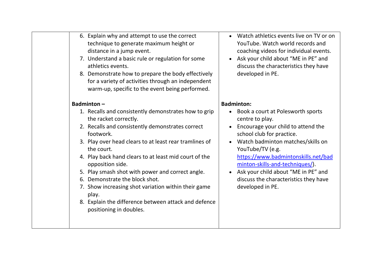|  | 6. Explain why and attempt to use the correct<br>technique to generate maximum height or<br>distance in a jump event.<br>7. Understand a basic rule or regulation for some<br>athletics events.<br>8. Demonstrate how to prepare the body effectively<br>for a variety of activities through an independent<br>warm-up, specific to the event being performed.                                                                                                                                                                               | • Watch athletics events live on TV or on<br>YouTube. Watch world records and<br>coaching videos for individual events.<br>Ask your child about "ME in PE" and<br>discuss the characteristics they have<br>developed in PE.                                                                                                                                    |
|--|----------------------------------------------------------------------------------------------------------------------------------------------------------------------------------------------------------------------------------------------------------------------------------------------------------------------------------------------------------------------------------------------------------------------------------------------------------------------------------------------------------------------------------------------|----------------------------------------------------------------------------------------------------------------------------------------------------------------------------------------------------------------------------------------------------------------------------------------------------------------------------------------------------------------|
|  | Badminton $-$                                                                                                                                                                                                                                                                                                                                                                                                                                                                                                                                | <b>Badminton:</b>                                                                                                                                                                                                                                                                                                                                              |
|  | 1. Recalls and consistently demonstrates how to grip<br>the racket correctly.<br>2. Recalls and consistently demonstrates correct<br>footwork.<br>3. Play over head clears to at least rear tramlines of<br>the court.<br>4. Play back hand clears to at least mid court of the<br>opposition side.<br>5. Play smash shot with power and correct angle.<br>6. Demonstrate the block shot.<br>7. Show increasing shot variation within their game<br>play.<br>8. Explain the difference between attack and defence<br>positioning in doubles. | Book a court at Polesworth sports<br>centre to play.<br>Encourage your child to attend the<br>school club for practice.<br>Watch badminton matches/skills on<br>YouTube/TV (e.g.<br>https://www.badmintonskills.net/bad<br>minton-skills-and-techniques/).<br>Ask your child about "ME in PE" and<br>discuss the characteristics they have<br>developed in PE. |
|  |                                                                                                                                                                                                                                                                                                                                                                                                                                                                                                                                              |                                                                                                                                                                                                                                                                                                                                                                |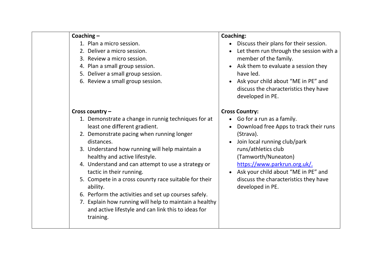|  | Coaching $-$                                           | Coachir                 |
|--|--------------------------------------------------------|-------------------------|
|  | 1. Plan a micro session.                               | D                       |
|  | 2. Deliver a micro session.                            |                         |
|  | 3. Review a micro session.                             | n                       |
|  | 4. Plan a small group session.                         | A                       |
|  | 5. Deliver a small group session.                      | h                       |
|  | 6. Review a small group session.                       | $\overline{A}$          |
|  |                                                        | d                       |
|  |                                                        | d                       |
|  |                                                        |                         |
|  | Cross country -                                        | Cross C                 |
|  | 1. Demonstrate a change in runnig techniques for at    |                         |
|  | least one different gradient.                          | D                       |
|  | 2. Demonstrate pacing when running longer              | (                       |
|  | distances.                                             | J(                      |
|  | 3. Understand how running will help maintain a         | $\mathsf{r}$            |
|  | healthy and active lifestyle.                          | (                       |
|  | 4. Understand and can attempt to use a strategy or     | $\overline{\mathsf{h}}$ |
|  | tactic in their running.                               | A                       |
|  | 5. Compete in a cross counrty race suitable for their  | d                       |
|  | ability.                                               | d                       |
|  | 6. Perform the activities and set up courses safely.   |                         |
|  | 7. Explain how running will help to maintain a healthy |                         |
|  | and active lifestyle and can link this to ideas for    |                         |
|  | training.                                              |                         |
|  |                                                        |                         |

#### **Coaching:**

- liscuss their plans for their session.
- et them run through the session with a member of the family.
- Ask them to evaluate a session they have led.
- Ask your child about "ME in PE" and liscuss the characteristics they have leveloped in PE.

## **Country:**

- Go for a run as a family.
- ownload free Apps to track their runs (Strava).
- oin local running club/park uns/athletics club (Tamworth/Nuneaton) [https://www.parkrun.org.uk/.](https://www.parkrun.org.uk/)
- Ask your child about "ME in PE" and liscuss the characteristics they have leveloped in PE.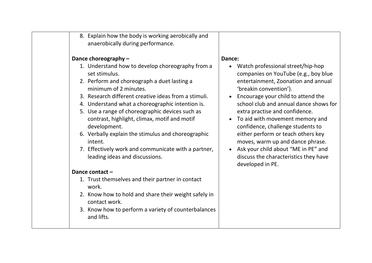| 8. Explain how the body is working aerobically and<br>anaerobically during performance.                                                                                                                                                                                                                                                                                                                                                                                                                                                                                                                                                                                                                                                                                                 |                                                                                                                                                                                                                                                                                                                                                                                                                                                                                                                                  |
|-----------------------------------------------------------------------------------------------------------------------------------------------------------------------------------------------------------------------------------------------------------------------------------------------------------------------------------------------------------------------------------------------------------------------------------------------------------------------------------------------------------------------------------------------------------------------------------------------------------------------------------------------------------------------------------------------------------------------------------------------------------------------------------------|----------------------------------------------------------------------------------------------------------------------------------------------------------------------------------------------------------------------------------------------------------------------------------------------------------------------------------------------------------------------------------------------------------------------------------------------------------------------------------------------------------------------------------|
| Dance choreography -<br>1. Understand how to develop choreography from a<br>set stimulus.<br>2. Perform and choreograph a duet lasting a<br>minimum of 2 minutes.<br>3. Research different creative ideas from a stimuli.<br>4. Understand what a choreographic intention is.<br>5. Use a range of choreographic devices such as<br>contrast, highlight, climax, motif and motif<br>development.<br>6. Verbally explain the stimulus and choreographic<br>intent.<br>7. Effectively work and communicate with a partner,<br>leading ideas and discussions.<br>Dance contact-<br>1. Trust themselves and their partner in contact<br>work.<br>2. Know how to hold and share their weight safely in<br>contact work.<br>3. Know how to perform a variety of counterbalances<br>and lifts. | Dance:<br>• Watch professional street/hip-hop<br>companies on YouTube (e.g., boy blue<br>entertainment, Zoonation and annual<br>'breakin convention').<br>Encourage your child to attend the<br>school club and annual dance shows for<br>extra practise and confidence.<br>To aid with movement memory and<br>confidence, challenge students to<br>either perform or teach others key<br>moves, warm up and dance phrase.<br>• Ask your child about "ME in PE" and<br>discuss the characteristics they have<br>developed in PE. |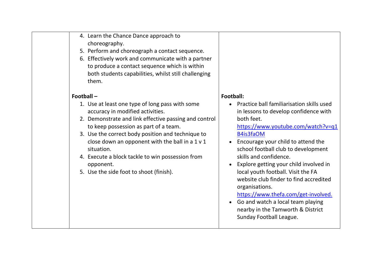| 4. Learn the Chance Dance approach to |
|---------------------------------------|
| choreography.                         |

- 5. Perform and choreograph a contact sequence.
- 6. Effectively work and communicate with a partner to produce a contact sequence which is within both students capabilities, whilst still challenging them.

#### **Football –**

- 1. Use at least one type of long pass with some accuracy in modified activities.
- 2. Demonstrate and link effective passing and control to keep possession as part of a team.
- 3. Use the correct body position and technique to close down an opponent with the ball in a  $1 \vee 1$ situation.
- 4. Execute a block tackle to win possession from opponent.
- 5. Use the side foot to shoot (finish).

#### **Football:**

- Practice ball familiarisation skills used in lessons to develop confidence with both feet.
	- [https://www.youtube.com/watch?v=q1](https://www.youtube.com/watch?v=q1B4is3faOM) [B4is3faOM](https://www.youtube.com/watch?v=q1B4is3faOM)
- Encourage your child to attend the school football club to development skills and confidence.
- Explore getting your child involved in local youth football. Visit the FA website club finder to find accredited organisations.

[https://www.thefa.com/get-involved.](https://www.thefa.com/get-involved)

• Go and watch a local team playing nearby in the Tamworth & District Sunday Football League.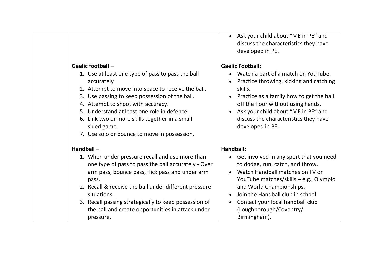#### **Gaelic football –**

- 1. Use at least one type of pass to pass the ball accurately
- 2. Attempt to move into space to receive the ball.
- 3. Use passing to keep possession of the ball.
- 4. Attempt to shoot with accuracy.
- 5. Understand at least one role in defence.
- 6. Link two or more skills together in a small sided game.
- 7. Use solo or bounce to move in possession.

#### **Handball –**

- 1. When under pressure recall and use more than one type of pass to pass the ball accurately - Over arm pass, bounce pass, flick pass and under arm pass.
- 2. Recall & receive the ball under different pressure situations.
- 3. Recall passing strategically to keep possession of the ball and create opportunities in attack under pressure.

• Ask your child about "ME in PE" and discuss the characteristics they have developed in PE.

#### **Gaelic Football:**

- Watch a part of a match on YouTube.
- Practice throwing, kicking and catching skills.
- Practice as a family how to get the ball off the floor without using hands.
- Ask your child about "ME in PE" and discuss the characteristics they have developed in PE.

#### **Handball:**

- Get involved in any sport that you need to dodge, run, catch, and throw.
- Watch Handball matches on TV or YouTube matches/skills – e.g., Olympic and World Championships.
- Join the Handball club in school.
- Contact your local handball club (Loughborough/Coventry/ Birmingham).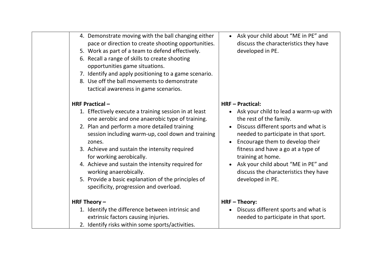| 4. Demonstrate moving with the ball changing either<br>pace or direction to create shooting opportunities.<br>5. Work as part of a team to defend effectively.<br>6. Recall a range of skills to create shooting<br>opportunities game situations.<br>7. Identify and apply positioning to a game scenario.<br>8. Use off the ball movements to demonstrate<br>tactical awareness in game scenarios.                                                                                                           | Ask your child about "ME in PE" and<br>discuss the characteristics they have<br>developed in PE.                                                                                                                                                                                                                                                                            |
|----------------------------------------------------------------------------------------------------------------------------------------------------------------------------------------------------------------------------------------------------------------------------------------------------------------------------------------------------------------------------------------------------------------------------------------------------------------------------------------------------------------|-----------------------------------------------------------------------------------------------------------------------------------------------------------------------------------------------------------------------------------------------------------------------------------------------------------------------------------------------------------------------------|
| <b>HRF Practical -</b><br>1. Effectively execute a training session in at least<br>one aerobic and one anaerobic type of training.<br>2. Plan and perform a more detailed training<br>session including warm-up, cool down and training<br>zones.<br>3. Achieve and sustain the intensity required<br>for working aerobically.<br>4. Achieve and sustain the intensity required for<br>working anaerobically.<br>5. Provide a basic explanation of the principles of<br>specificity, progression and overload. | <b>HRF-Practical:</b><br>Ask your child to lead a warm-up with<br>the rest of the family.<br>Discuss different sports and what is<br>needed to participate in that sport.<br>Encourage them to develop their<br>fitness and have a go at a type of<br>training at home.<br>Ask your child about "ME in PE" and<br>discuss the characteristics they have<br>developed in PE. |
| HRF Theory $-$<br>1. Identify the difference between intrinsic and<br>extrinsic factors causing injuries.<br>2. Identify risks within some sports/activities.                                                                                                                                                                                                                                                                                                                                                  | <b>HRF-Theory:</b><br>Discuss different sports and what is<br>$\bullet$<br>needed to participate in that sport.                                                                                                                                                                                                                                                             |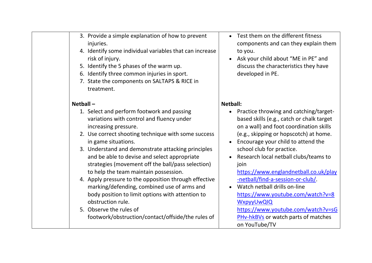| 3. Provide a simple explanation of how to prevent<br>injuries.<br>4. Identify some individual variables that can increase<br>risk of injury.<br>5. Identify the 5 phases of the warm up.<br>6. Identify three common injuries in sport.<br>7. State the components on SALTAPS & RICE in<br>treatment.                                                                                             | Test them on the different fitness<br>components and can they explain them<br>to you.<br>Ask your child about "ME in PE" and<br>discuss the characteristics they have<br>developed in PE.                                                                                                                                               |
|---------------------------------------------------------------------------------------------------------------------------------------------------------------------------------------------------------------------------------------------------------------------------------------------------------------------------------------------------------------------------------------------------|-----------------------------------------------------------------------------------------------------------------------------------------------------------------------------------------------------------------------------------------------------------------------------------------------------------------------------------------|
| Netball $-$                                                                                                                                                                                                                                                                                                                                                                                       | <b>Netball:</b>                                                                                                                                                                                                                                                                                                                         |
| 1. Select and perform footwork and passing<br>variations with control and fluency under<br>increasing pressure.<br>2. Use correct shooting technique with some success<br>in game situations.<br>3. Understand and demonstrate attacking principles<br>and be able to devise and select appropriate<br>strategies (movement off the ball/pass selection)<br>to help the team maintain possession. | • Practice throwing and catching/target-<br>based skills (e.g., catch or chalk target<br>on a wall) and foot coordination skills<br>(e.g., skipping or hopscotch) at home.<br>Encourage your child to attend the<br>school club for practice.<br>Research local netball clubs/teams to<br>join<br>https://www.englandnetball.co.uk/play |
| 4. Apply pressure to the opposition through effective<br>marking/defending, combined use of arms and<br>body position to limit options with attention to<br>obstruction rule.<br>5. Observe the rules of<br>footwork/obstruction/contact/offside/the rules of                                                                                                                                     | -netball/find-a-session-or-club/<br>Watch netball drills on-line<br>https://www.youtube.com/watch?v=8<br><b>WxpyyUwQIQ</b><br>https://www.youtube.com/watch?v=sG<br>PHv-hkBVs or watch parts of matches<br>on YouTube/TV                                                                                                                |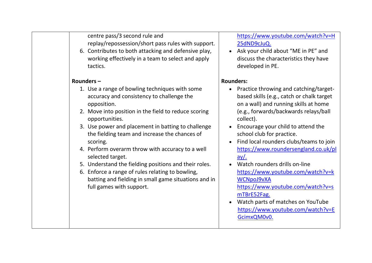centre pass/3 second rule and replay/repossession/short pass rules with support.

6. Contributes to both attacking and defensive play, working effectively in a team to select and apply tactics.

#### **Rounders –**

- 1. Use a range of bowling techniques with some accuracy and consistency to challenge the opposition.
- 2. Move into position in the field to reduce scoring opportunities.
- 3. Use power and placement in batting to challenge the fielding team and increase the chances of scoring.
- 4. Perform overarm throw with accuracy to a well selected target.
- 5. Understand the fielding positions and their roles.
- 6. Enforce a range of rules relating to bowling, batting and fielding in small game situations and in full games with support.

[https://www.youtube.com/watch?v=H](https://www.youtube.com/watch?v=H25dND9cJuQ) [25dND9cJuQ.](https://www.youtube.com/watch?v=H25dND9cJuQ)

• Ask your child about "ME in PE" and discuss the characteristics they have developed in PE.

### **Rounders:**

- Practice throwing and catching/targetbased skills (e.g., catch or chalk target on a wall) and running skills at home (e.g., forwards/backwards relays/ball collect).
- Encourage your child to attend the school club for practice.
- Find local rounders clubs/teams to join [https://www.roundersengland.co.uk/pl](https://www.roundersengland.co.uk/play/) [ay/.](https://www.roundersengland.co.uk/play/)
- Watch rounders drills on-line [https://www.youtube.com/watch?v=k](https://www.youtube.com/watch?v=kWCNpoJ9vXA) [WCNpoJ9vXA](https://www.youtube.com/watch?v=kWCNpoJ9vXA) [https://www.youtube.com/watch?v=s](https://www.youtube.com/watch?v=smTBrE52Fag) [mTBrE52Fag.](https://www.youtube.com/watch?v=smTBrE52Fag)
- Watch parts of matches on YouTube [https://www.youtube.com/watch?v=E](https://www.youtube.com/watch?v=EGcimxQM0v0) [GcimxQM0v0.](https://www.youtube.com/watch?v=EGcimxQM0v0)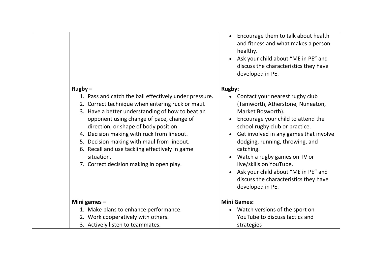|                                                                                                                                                                                                                                                                                                                                                                                                                                                                         | and fitness and what makes a person<br>healthy.<br>Ask your child about "ME in PE" and<br>discuss the characteristics they have<br>developed in PE.                                                                                                                                                                                                                                                                                        |
|-------------------------------------------------------------------------------------------------------------------------------------------------------------------------------------------------------------------------------------------------------------------------------------------------------------------------------------------------------------------------------------------------------------------------------------------------------------------------|--------------------------------------------------------------------------------------------------------------------------------------------------------------------------------------------------------------------------------------------------------------------------------------------------------------------------------------------------------------------------------------------------------------------------------------------|
| $Rugby -$<br>1. Pass and catch the ball effectively under pressure.<br>2. Correct technique when entering ruck or maul.<br>3. Have a better understanding of how to beat an<br>opponent using change of pace, change of<br>direction, or shape of body position<br>4. Decision making with ruck from lineout.<br>5. Decision making with maul from lineout.<br>6. Recall and use tackling effectively in game<br>situation.<br>7. Correct decision making in open play. | <b>Rugby:</b><br>Contact your nearest rugby club<br>(Tamworth, Atherstone, Nuneaton,<br>Market Bosworth).<br>Encourage your child to attend the<br>school rugby club or practice.<br>Get involved in any games that involve<br>dodging, running, throwing, and<br>catching.<br>Watch a rugby games on TV or<br>live/skills on YouTube.<br>Ask your child about "ME in PE" and<br>discuss the characteristics they have<br>developed in PE. |
| Mini games $-$<br>1. Make plans to enhance performance.<br>2. Work cooperatively with others.<br>3. Actively listen to teammates.                                                                                                                                                                                                                                                                                                                                       | <b>Mini Games:</b><br>Watch versions of the sport on<br>YouTube to discuss tactics and<br>strategies                                                                                                                                                                                                                                                                                                                                       |

• Encourage them to talk about health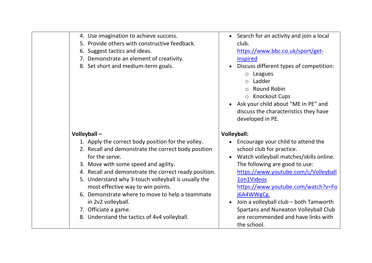| 4. Use imagination to achieve success.<br>5. Provide others with constructive feedback.<br>6. Suggest tactics and ideas.<br>7. Demonstrate an element of creativity.<br>8. Set short and medium-term goals.                                                                                                                                                                                                                                                               | • Search for an activity and join a local<br>club.<br>https://www.bbc.co.uk/sport/get-<br>inspired<br>Discuss different types of competition:<br>Leagues<br>$\circ$<br>Ladder<br>$\bigcirc$<br><b>Round Robin</b><br>o Knockout Cups<br>• Ask your child about "ME in PE" and<br>discuss the characteristics they have<br>developed in PE.                                                      |
|---------------------------------------------------------------------------------------------------------------------------------------------------------------------------------------------------------------------------------------------------------------------------------------------------------------------------------------------------------------------------------------------------------------------------------------------------------------------------|-------------------------------------------------------------------------------------------------------------------------------------------------------------------------------------------------------------------------------------------------------------------------------------------------------------------------------------------------------------------------------------------------|
| Volleyball-                                                                                                                                                                                                                                                                                                                                                                                                                                                               | <b>Volleyball:</b>                                                                                                                                                                                                                                                                                                                                                                              |
| 1. Apply the correct body position for the volley.<br>2. Recall and demonstrate the correct body position<br>for the serve.<br>3. Move with some speed and agility.<br>4. Recall and demonstrate the correct ready position.<br>5. Understand why 3-touch volleyball is usually the<br>most effective way to win points.<br>6. Demonstrate where to move to help a teammate<br>in 2v2 volleyball.<br>7. Officiate a game.<br>8. Understand the tactics of 4v4 volleyball. | Encourage your child to attend the<br>school club for practice.<br>Watch volleyball matches/skills online.<br>The following are good to use:<br>https://www.youtube.com/c/Volleyball<br>1on1Videos<br>https://www.youtube.com/watch?v=Fo<br>j6A4WWgCg.<br>Join a volleyball club - both Tamworth<br>Spartans and Nuneaton Volleyball Club<br>are recommended and have links with<br>the school. |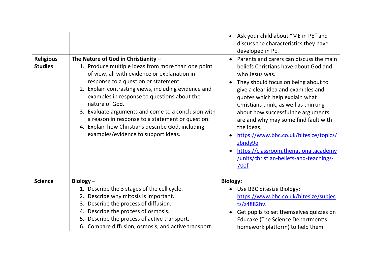| <b>Religious</b> | The Nature of God in Christianity -                                                                                                                                                                                                                                                                                                                                                                                                                                        | • Ask your child about "ME in PE" and<br>discuss the characteristics they have<br>developed in PE.<br>Parents and carers can discuss the main<br>$\bullet$                                                                                                                                                                                                                                                                                                   |
|------------------|----------------------------------------------------------------------------------------------------------------------------------------------------------------------------------------------------------------------------------------------------------------------------------------------------------------------------------------------------------------------------------------------------------------------------------------------------------------------------|--------------------------------------------------------------------------------------------------------------------------------------------------------------------------------------------------------------------------------------------------------------------------------------------------------------------------------------------------------------------------------------------------------------------------------------------------------------|
| <b>Studies</b>   | 1. Produce multiple ideas from more than one point<br>of view, all with evidence or explanation in<br>response to a question or statement.<br>2. Explain contrasting views, including evidence and<br>examples in response to questions about the<br>nature of God.<br>3. Evaluate arguments and come to a conclusion with<br>a reason in response to a statement or question.<br>4. Explain how Christians describe God, including<br>examples/evidence to support ideas. | beliefs Christians have about God and<br>who Jesus was.<br>They should focus on being about to<br>give a clear idea and examples and<br>quotes which help explain what<br>Christians think, as well as thinking<br>about how successful the arguments<br>are and why may some find fault with<br>the ideas.<br>https://www.bbc.co.uk/bitesize/topics/<br>zbndy9q<br>https://classroom.thenational.academy<br>/units/christian-beliefs-and-teachings-<br>700f |
| <b>Science</b>   | Biology $-$                                                                                                                                                                                                                                                                                                                                                                                                                                                                | <b>Biology:</b>                                                                                                                                                                                                                                                                                                                                                                                                                                              |
|                  | 1. Describe the 3 stages of the cell cycle.                                                                                                                                                                                                                                                                                                                                                                                                                                | • Use BBC bitesize Biology:                                                                                                                                                                                                                                                                                                                                                                                                                                  |
|                  | 2. Describe why mitosis is important.<br>3. Describe the process of diffusion.                                                                                                                                                                                                                                                                                                                                                                                             | https://www.bbc.co.uk/bitesize/subjec<br>ts/z4882hv.                                                                                                                                                                                                                                                                                                                                                                                                         |
|                  | 4. Describe the process of osmosis.                                                                                                                                                                                                                                                                                                                                                                                                                                        | Get pupils to set themselves quizzes on                                                                                                                                                                                                                                                                                                                                                                                                                      |
|                  | 5. Describe the process of active transport.                                                                                                                                                                                                                                                                                                                                                                                                                               | <b>Educake (The Science Department's</b>                                                                                                                                                                                                                                                                                                                                                                                                                     |
|                  | 6. Compare diffusion, osmosis, and active transport.                                                                                                                                                                                                                                                                                                                                                                                                                       | homework platform) to help them                                                                                                                                                                                                                                                                                                                                                                                                                              |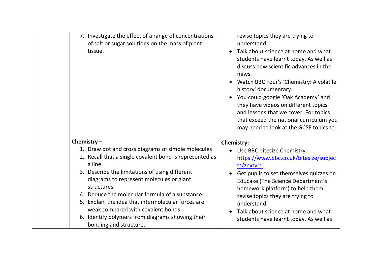| 7. Investigate the effect of a range of concentrations<br>of salt or sugar solutions on the mass of plant<br>tissue.                                                                                                                                                                                                                                                                                                                                                                | revise topics they are trying to<br>understand.<br>Talk about science at home and what<br>students have learnt today. As well as<br>discuss new scientific advances in the<br>news.<br>Watch BBC Four's 'Chemistry: A volatile<br>history' documentary.<br>You could google 'Oak Academy' and<br>they have videos on different topics<br>and lessons that we cover. For topics<br>that exceed the national curriculum you<br>may need to look at the GCSE topics to. |
|-------------------------------------------------------------------------------------------------------------------------------------------------------------------------------------------------------------------------------------------------------------------------------------------------------------------------------------------------------------------------------------------------------------------------------------------------------------------------------------|----------------------------------------------------------------------------------------------------------------------------------------------------------------------------------------------------------------------------------------------------------------------------------------------------------------------------------------------------------------------------------------------------------------------------------------------------------------------|
| Chemistry $-$<br>1. Draw dot and cross diagrams of simple molecules<br>2. Recall that a single covalent bond is represented as<br>a line.<br>3. Describe the limitations of using different<br>diagrams to represent molecules or giant<br>structures.<br>4. Deduce the molecular formula of a substance.<br>5. Explain the idea that intermolecular forces are<br>weak compared with covalent bonds.<br>6. Identify polymers from diagrams showing their<br>bonding and structure. | <b>Chemistry:</b><br>Use BBC bitesize Chemistry:<br>https://www.bbc.co.uk/bitesize/subjec<br>ts/znxtyrd<br>Get pupils to set themselves quizzes on<br>Educake (The Science Department's<br>homework platform) to help them<br>revise topics they are trying to<br>understand.<br>Talk about science at home and what<br>students have learnt today. As well as                                                                                                       |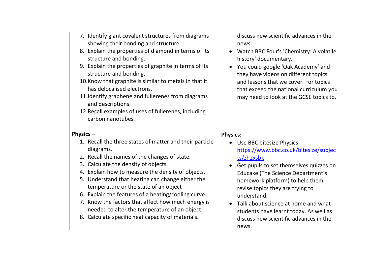| 7. Identify giant covalent structures from diagrams<br>showing their bonding and structure.<br>8. Explain the properties of diamond in terms of its<br>structure and bonding.<br>9. Explain the properties of graphite in terms of its<br>structure and bonding.<br>10. Know that graphite is similar to metals in that it<br>has delocalised electrons.<br>11. Identify graphene and fullerenes from diagrams<br>and descriptions.<br>12. Recall examples of uses of fullerenes, including<br>carbon nanotubes.                                 | discuss new scientific advances in the<br>news.<br>Watch BBC Four's 'Chemistry: A volatile<br>history' documentary.<br>You could google 'Oak Academy' and<br>they have videos on different topics<br>and lessons that we cover. For topics<br>that exceed the national curriculum you<br>may need to look at the GCSE topics to.                                                                                       |
|--------------------------------------------------------------------------------------------------------------------------------------------------------------------------------------------------------------------------------------------------------------------------------------------------------------------------------------------------------------------------------------------------------------------------------------------------------------------------------------------------------------------------------------------------|------------------------------------------------------------------------------------------------------------------------------------------------------------------------------------------------------------------------------------------------------------------------------------------------------------------------------------------------------------------------------------------------------------------------|
| Physics $-$<br>1. Recall the three states of matter and their particle<br>diagrams.<br>2. Recall the names of the changes of state.<br>3. Calculate the density of objects.<br>4. Explain how to measure the density of objects.<br>5. Understand that heating can change either the<br>temperature or the state of an object<br>6. Explain the features of a heating/cooling curve.<br>7. Know the factors that affect how much energy is<br>needed to alter the temperature of an object.<br>8. Calculate specific heat capacity of materials. | <b>Physics:</b><br>• Use BBC bitesize Physics:<br>https://www.bbc.co.uk/bitesize/subjec<br>ts/zh2xsbk<br>Get pupils to set themselves quizzes on<br><b>Educake (The Science Department's</b><br>homework platform) to help them<br>revise topics they are trying to<br>understand.<br>Talk about science at home and what<br>students have learnt today. As well as<br>discuss new scientific advances in the<br>news. |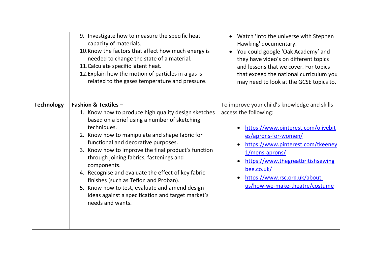|                   | 9. Investigate how to measure the specific heat<br>capacity of materials.<br>10. Know the factors that affect how much energy is<br>needed to change the state of a material.<br>11. Calculate specific latent heat.<br>12. Explain how the motion of particles in a gas is<br>related to the gases temperature and pressure.                                                                                                                                                                                                                                                             | Watch 'Into the universe with Stephen<br>Hawking' documentary.<br>You could google 'Oak Academy' and<br>they have video's on different topics<br>and lessons that we cover. For topics<br>that exceed the national curriculum you<br>may need to look at the GCSE topics to.                                     |
|-------------------|-------------------------------------------------------------------------------------------------------------------------------------------------------------------------------------------------------------------------------------------------------------------------------------------------------------------------------------------------------------------------------------------------------------------------------------------------------------------------------------------------------------------------------------------------------------------------------------------|------------------------------------------------------------------------------------------------------------------------------------------------------------------------------------------------------------------------------------------------------------------------------------------------------------------|
| <b>Technology</b> | <b>Fashion &amp; Textiles -</b><br>1. Know how to produce high quality design sketches<br>based on a brief using a number of sketching<br>techniques.<br>2. Know how to manipulate and shape fabric for<br>functional and decorative purposes.<br>3. Know how to improve the final product's function<br>through joining fabrics, fastenings and<br>components.<br>4. Recognise and evaluate the effect of key fabric<br>finishes (such as Teflon and Proban).<br>5. Know how to test, evaluate and amend design<br>ideas against a specification and target market's<br>needs and wants. | To improve your child's knowledge and skills<br>access the following:<br>https://www.pinterest.com/olivebit<br>es/aprons-for-women/<br>https://www.pinterest.com/tkeeney<br>1/mens-aprons/<br>https://www.thegreatbritishsewing<br>bee.co.uk/<br>https://www.rsc.org.uk/about-<br>us/how-we-make-theatre/costume |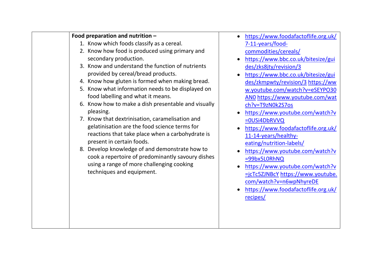| Food preparation and nutrition -                    | https://www          |
|-----------------------------------------------------|----------------------|
| 1. Know which foods classify as a cereal.           | $7 - 11 - years$     |
| 2. Know how food is produced using primary and      | commoditie           |
| secondary production.                               | https://www          |
| 3. Know and understand the function of nutrients    | des/zks8jty          |
| provided by cereal/bread products.                  | https://www          |
| 4. Know how gluten is formed when making bread.     | des/zkmpw            |
| 5. Know what information needs to be displayed on   | w.youtube.           |
| food labelling and what it means.                   | ANO https:/          |
| 6. Know how to make a dish presentable and visually | ch?v=T9zN0           |
| pleasing.                                           | https://www          |
| 7. Know that dextrinisation, caramelisation and     | =0USi4DbR\           |
| gelatinisation are the food science terms for       | https://www          |
| reactions that take place when a carbohydrate is    | 11-14-years          |
| present in certain foods.                           | eating/nutri         |
| 8. Develop knowledge of and demonstrate how to      | https://www          |
| cook a repertoire of predominantly savoury dishes   | $= 99$ bx5L0Rh       |
| using a range of more challenging cooking           | https://www          |
| techniques and equipment.                           | $=$ $i$ cTc5ZJNB $o$ |
|                                                     | com/watch            |
|                                                     | https://www          |
|                                                     | recipes/             |
|                                                     |                      |
|                                                     |                      |
|                                                     |                      |
|                                                     |                      |

- w.foodafactoflife.org.uk/ foodes/cereals/
- w.bbc.co.uk/bitesize/gui /revision/3
- w.bbc.co.uk/bitesize/gui ty/revision/3 [https://ww](https://www.youtube.com/watch?v=eSEYPO30AN0) com/watch?v=eSEYPO30 /www.youtube.com/wat k<sub>2S7os</sub>
- w.youtube.com/watch?v vvq
- w.foodafactoflife.org.uk/ healthyition-labels/
- w.youtube.com/watch?v nNQ
- w.youtube.com/watch?v <u>cY [https://www.youtube.](https://www.youtube.com/watch?v=n6wpNhyreDE)</u> ?v=n6wpNhyreDE
- w.foodafactoflife.org.uk/